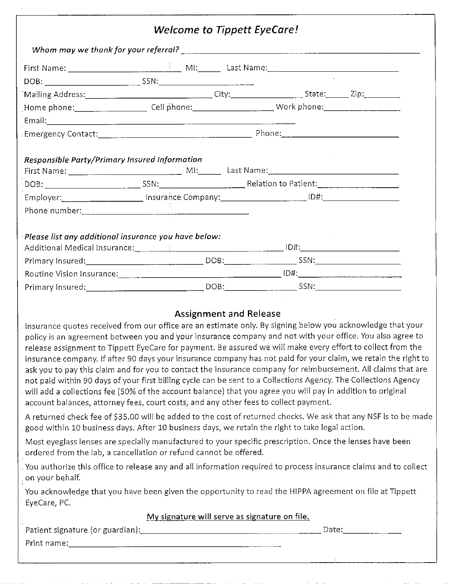|                                                                                      | <b>Welcome to Tippett EyeCare!</b>            |                                                                                                                                                                                                                                                                                                                                                                                                                                                                                                                                                                                                                                                                                                                                                                                                                                                                                                                                                                                                                                                                                                                                                                                                                                                                                                                                                           |
|--------------------------------------------------------------------------------------|-----------------------------------------------|-----------------------------------------------------------------------------------------------------------------------------------------------------------------------------------------------------------------------------------------------------------------------------------------------------------------------------------------------------------------------------------------------------------------------------------------------------------------------------------------------------------------------------------------------------------------------------------------------------------------------------------------------------------------------------------------------------------------------------------------------------------------------------------------------------------------------------------------------------------------------------------------------------------------------------------------------------------------------------------------------------------------------------------------------------------------------------------------------------------------------------------------------------------------------------------------------------------------------------------------------------------------------------------------------------------------------------------------------------------|
|                                                                                      |                                               |                                                                                                                                                                                                                                                                                                                                                                                                                                                                                                                                                                                                                                                                                                                                                                                                                                                                                                                                                                                                                                                                                                                                                                                                                                                                                                                                                           |
|                                                                                      |                                               |                                                                                                                                                                                                                                                                                                                                                                                                                                                                                                                                                                                                                                                                                                                                                                                                                                                                                                                                                                                                                                                                                                                                                                                                                                                                                                                                                           |
|                                                                                      |                                               |                                                                                                                                                                                                                                                                                                                                                                                                                                                                                                                                                                                                                                                                                                                                                                                                                                                                                                                                                                                                                                                                                                                                                                                                                                                                                                                                                           |
|                                                                                      |                                               |                                                                                                                                                                                                                                                                                                                                                                                                                                                                                                                                                                                                                                                                                                                                                                                                                                                                                                                                                                                                                                                                                                                                                                                                                                                                                                                                                           |
|                                                                                      |                                               | Home phone: ________________________ Cell phone: _________________________Work phone: ________________________                                                                                                                                                                                                                                                                                                                                                                                                                                                                                                                                                                                                                                                                                                                                                                                                                                                                                                                                                                                                                                                                                                                                                                                                                                            |
|                                                                                      |                                               |                                                                                                                                                                                                                                                                                                                                                                                                                                                                                                                                                                                                                                                                                                                                                                                                                                                                                                                                                                                                                                                                                                                                                                                                                                                                                                                                                           |
|                                                                                      |                                               |                                                                                                                                                                                                                                                                                                                                                                                                                                                                                                                                                                                                                                                                                                                                                                                                                                                                                                                                                                                                                                                                                                                                                                                                                                                                                                                                                           |
| Responsible Party/Primary Insured Information                                        |                                               |                                                                                                                                                                                                                                                                                                                                                                                                                                                                                                                                                                                                                                                                                                                                                                                                                                                                                                                                                                                                                                                                                                                                                                                                                                                                                                                                                           |
|                                                                                      |                                               |                                                                                                                                                                                                                                                                                                                                                                                                                                                                                                                                                                                                                                                                                                                                                                                                                                                                                                                                                                                                                                                                                                                                                                                                                                                                                                                                                           |
|                                                                                      |                                               |                                                                                                                                                                                                                                                                                                                                                                                                                                                                                                                                                                                                                                                                                                                                                                                                                                                                                                                                                                                                                                                                                                                                                                                                                                                                                                                                                           |
|                                                                                      |                                               |                                                                                                                                                                                                                                                                                                                                                                                                                                                                                                                                                                                                                                                                                                                                                                                                                                                                                                                                                                                                                                                                                                                                                                                                                                                                                                                                                           |
| Please list any additional insurance you have below:                                 |                                               |                                                                                                                                                                                                                                                                                                                                                                                                                                                                                                                                                                                                                                                                                                                                                                                                                                                                                                                                                                                                                                                                                                                                                                                                                                                                                                                                                           |
|                                                                                      |                                               | Primary Insured: 1990 March 2008: 2008: 2008: 2008: 2008: 2008: 2008: 2009: 2009: 2009: 2009: 2009: 2009: 2009                                                                                                                                                                                                                                                                                                                                                                                                                                                                                                                                                                                                                                                                                                                                                                                                                                                                                                                                                                                                                                                                                                                                                                                                                                            |
|                                                                                      |                                               |                                                                                                                                                                                                                                                                                                                                                                                                                                                                                                                                                                                                                                                                                                                                                                                                                                                                                                                                                                                                                                                                                                                                                                                                                                                                                                                                                           |
|                                                                                      |                                               |                                                                                                                                                                                                                                                                                                                                                                                                                                                                                                                                                                                                                                                                                                                                                                                                                                                                                                                                                                                                                                                                                                                                                                                                                                                                                                                                                           |
| ordered from the lab, a cancellation or refund cannot be offered.<br>on your behalf. | <b>Assignment and Release</b>                 | Insurance quotes received from our office are an estimate only. By signing below you acknowledge that your<br>policy is an agreement between you and your insurance company and not with your office. You also agree to<br>release assignment to Tippett EyeCare for payment. Be assured we will make every effort to collect from the<br>insurance company. If after 90 days your insurance company has not paid for your claim, we retain the right to<br>ask you to pay this claim and for you to contact the insurance company for reimbursement. All claims that are<br>not paid within 90 days of your first billing cycle can be sent to a Collections Agency. The Collections Agency<br>will add a collections fee (50% of the account balance) that you agree you will pay in addition to original<br>account balances, attorney fees, court costs, and any other fees to collect payment.<br>A returned check fee of \$35.00 will be added to the cost of returned checks. We ask that any NSF is to be made<br>good within 10 business days. After 10 business days, we retain the right to take legal action.<br>Most eyeglass lenses are specially manufactured to your specific prescription. Once the lenses have been<br>You authorize this office to release any and all information required to process insurance claims and to collect |
|                                                                                      |                                               | You acknowledge that you have been given the opportunity to read the HIPPA agreement on file at Tippett                                                                                                                                                                                                                                                                                                                                                                                                                                                                                                                                                                                                                                                                                                                                                                                                                                                                                                                                                                                                                                                                                                                                                                                                                                                   |
| EyeCare, PC.                                                                         |                                               |                                                                                                                                                                                                                                                                                                                                                                                                                                                                                                                                                                                                                                                                                                                                                                                                                                                                                                                                                                                                                                                                                                                                                                                                                                                                                                                                                           |
|                                                                                      |                                               |                                                                                                                                                                                                                                                                                                                                                                                                                                                                                                                                                                                                                                                                                                                                                                                                                                                                                                                                                                                                                                                                                                                                                                                                                                                                                                                                                           |
|                                                                                      | My signature will serve as signature on file. |                                                                                                                                                                                                                                                                                                                                                                                                                                                                                                                                                                                                                                                                                                                                                                                                                                                                                                                                                                                                                                                                                                                                                                                                                                                                                                                                                           |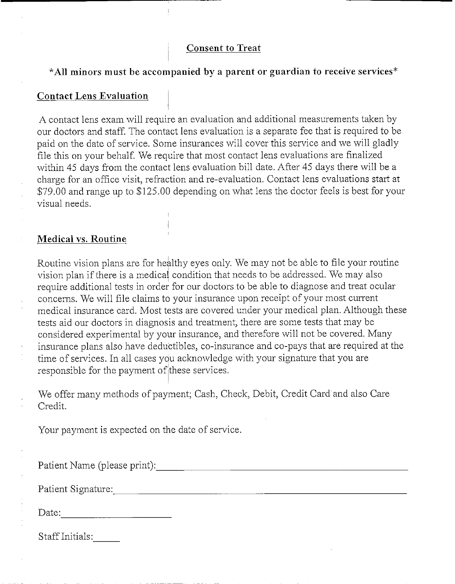# Consent to Treat

# \*A11 minors must be accompanied by a parent or guardian to receive services\*

# Contact Lens Evaluation

A contact lens exam will require an evaluation and additional measurements taken by our doctors and staff. The contact lens evaluation is a separate fee that is required to he paid on the date of service. Some insurances will cover this service and we will gladly file this on your behalf. We require that most contact lens evaluations are finalized within 45 days from the contact lens evaluation bill date. After 45 days there will be a charge for an office visit, refraction and re-evaluation. Contact lens evaluations start at \$79.00 and range up to \$125.00 depending on what lens the doctor feels is best for your visual needs.

### Medical vs. Routine

Routine vision plans are for healthy eyes only. We may not be able to file your routine vision plan if there is a medical condition that needs to he addressed. We may also require additional tests in order for our doctors to he able to diagnose and treat ocular concerns. We will file claims to your insurance upon receipt of your most current medical insurance card. Most tests are covered under your medical plan. Although these tests aid our doctors in diagnosis and treatment, there are some tests that may he considered experimental by your insurance, and therefore will not he covered. Many insurance plans also have deductibles, co-insurance and co-pays that are required at the time of services. In all cases you acknowledge with your signature that you are responsible for the payment of these services.

We offer many methods of payment; Cash, Check, Debit, Credit Card'and also Care Credit.

Your payment is expected on the date of service.

Patient Name (please print):

Patient Signature:

Date: the contract of the contract of the contract of the contract of the contract of the contract of the contract of the contract of the contract of the contract of the contract of the contract of the contract of the cont

Staff Initials: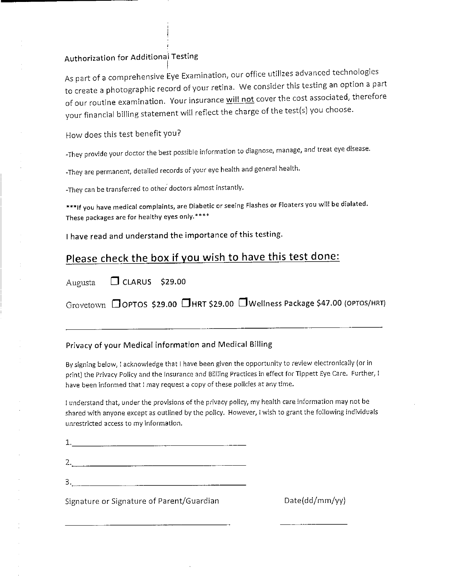### Authorization for Additional Testing

As part of a comprehensive Eye Examination, our office utilizes advanced technologies to create a photographic record of your retina. We consider this testing an option a part of our routine examination. Your insurance will not cover the cost associated, therefore your financial billing statement will reflect the charge of the test[s) you choose.

How does this test benefit you?

-They provide your doctor the best possible information to diagnose, manage, and treat eye disease.

-They are permanent, detailed records of your eye health and genera! health.

-They can be *transferred* to other doctors almost instantly.

\*\*\*lf you have medical complaints, are Diabetic or seeing Flashes or Floaters you will be dialated. These packages are for healthy eyes only.\*\*\*\*

I have read and understand the importance of this testing.

### Please check the box if you wish to have this test done:

| Augusta | $\Box$ CLARUS \$29.00 |  |
|---------|-----------------------|--|

Grovetown **OOPTOS \$29.00 GHRT \$29.00 OWellness Package \$47.00 (OPTOS/HRT)** 

#### Privacy of your Medical information and Medical Billing

By signing below, 1 acknowledge that I have been given the opportunity to review electronically (or in print) the Privacy Policy and the Insurance and Billling Practices in effect for Tippett Eye Care. Further, I have been informed that I may request a copy of these policies at any time.

I understand that, under the provisions of the privacy policy, my health care information may not be shared with anyone except as outlined by the policy. However, ! wish to grant the following individuals unrestricted access to my information.

| 1. |  |  |
|----|--|--|
| 2. |  |  |
| 3. |  |  |

Signature or Signature of Parent/Guardian discussed that example that Date(dd/mm/yy)